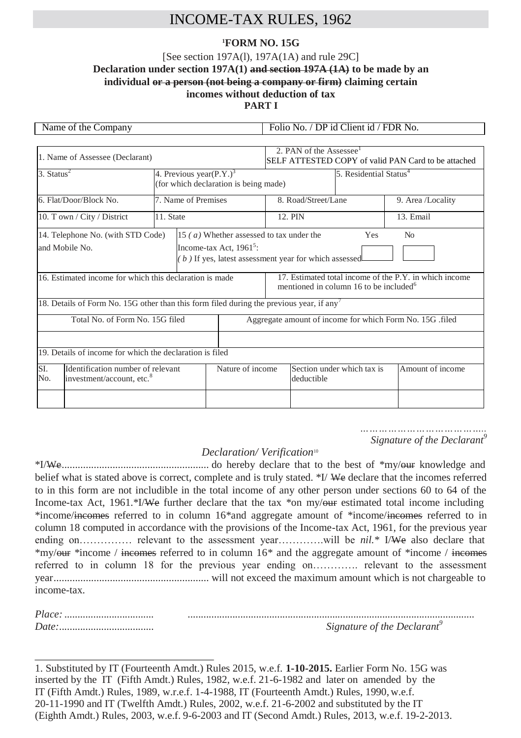# INCOME-TAX RULES, 1962

## **<sup>1</sup>FORM NO. 15G**

## [See section 197A(l), 197A(1A) and rule 29C] **Declaration under section 197A(1) and section 197A (1A) to be made by an individual or a person (not being a company or firm) claiming certain incomes without deduction of tax PART I**

| Name of the Company                                                                                                           |                                                                      |                     | Folio No. / DP id Client id / FDR No.                                                                        |                                    |                     |                            |                   |  |
|-------------------------------------------------------------------------------------------------------------------------------|----------------------------------------------------------------------|---------------------|--------------------------------------------------------------------------------------------------------------|------------------------------------|---------------------|----------------------------|-------------------|--|
|                                                                                                                               |                                                                      |                     |                                                                                                              |                                    |                     |                            |                   |  |
| 1. Name of Assessee (Declarant)                                                                                               |                                                                      |                     | 2. PAN of the Assessee <sup>1</sup><br>SELF ATTESTED COPY of valid PAN Card to be attached                   |                                    |                     |                            |                   |  |
| 3. Status $2$                                                                                                                 | 4. Previous year $(P.Y.)^3$<br>(for which declaration is being made) |                     |                                                                                                              | 5. Residential Status <sup>4</sup> |                     |                            |                   |  |
| 6. Flat/Door/Block No.                                                                                                        |                                                                      | 7. Name of Premises |                                                                                                              |                                    | 8. Road/Street/Lane |                            | 9. Area /Locality |  |
| 10. Town / City / District                                                                                                    | 11. State                                                            |                     |                                                                                                              |                                    | 12. PIN             |                            | 13. Email         |  |
| 14. Telephone No. (with STD Code)<br>15 (a) Whether assessed to tax under the<br>Income-tax Act, $1961^5$ :<br>and Mobile No. |                                                                      |                     | Yes<br>N <sub>0</sub><br>(b) If yes, latest assessment year for which assessed                               |                                    |                     |                            |                   |  |
| 16. Estimated income for which this declaration is made                                                                       |                                                                      |                     | 17. Estimated total income of the P.Y. in which income<br>mentioned in column 16 to be included <sup>6</sup> |                                    |                     |                            |                   |  |
| 18. Details of Form No. 15G other than this form filed during the previous year, if any <sup>7</sup>                          |                                                                      |                     |                                                                                                              |                                    |                     |                            |                   |  |
| Total No. of Form No. 15G filed                                                                                               |                                                                      |                     | Aggregate amount of income for which Form No. 15G .filed                                                     |                                    |                     |                            |                   |  |
|                                                                                                                               |                                                                      |                     |                                                                                                              |                                    |                     |                            |                   |  |
| 19. Details of income for which the declaration is filed                                                                      |                                                                      |                     |                                                                                                              |                                    |                     |                            |                   |  |
| Identification number of relevant<br>SI.<br>investment/account, etc. <sup>8</sup><br>No.                                      |                                                                      |                     | Nature of income                                                                                             |                                    | deductible          | Section under which tax is | Amount of income  |  |
|                                                                                                                               |                                                                      |                     |                                                                                                              |                                    |                     |                            |                   |  |

*………………………………….. Signature of the Declarant*<sup>9</sup>

## *Declaration/ Verification* 10

\*I/We....................................................... do hereby declare that to the best of \*my/our knowledge and belief what is stated above is correct, complete and is truly stated. \*I/ We declare that the incomes referred to in this form are not includible in the total income of any other person under sections 60 to 64 of the Income-tax Act, 1961.\*I/We further declare that the tax \*on my/our estimated total income including \*income/incomes referred to in column 16\*and aggregate amount of \*income/incomes referred to in column 18 computed in accordance with the provisions of the Income-tax Act, 1961, for the previous year ending on…………… relevant to the assessment year………….will be *nil.\** I/We also declare that \*my/our \*income / incomes referred to in column 16\* and the aggregate amount of \*income / incomes referred to in column 18 for the previous year ending on…………. relevant to the assessment year.......................................................... will not exceed the maximum amount which is not chargeable to income-tax.

| Signature of the Declarant <sup>'</sup> |
|-----------------------------------------|

1. Substituted by IT (Fourteenth Amdt.) Rules 2015, w.e.f. **1-10-2015.** Earlier Form No. 15G was inserted by the IT (Fifth Amdt.) Rules, 1982, w.e.f. 21-6-1982 and later on amended by the IT (Fifth Amdt.) Rules, 1989, w.r.e.f. 1-4-1988, IT (Fourteenth Amdt.) Rules, 1990, w.e.f. 20-11-1990 and IT (Twelfth Amdt.) Rules, 2002, w.e.f. 21-6-2002 and substituted by the IT (Eighth Amdt.) Rules, 2003, w.e.f. 9-6-2003 and IT (Second Amdt.) Rules, 2013, w.e.f. 19-2-2013.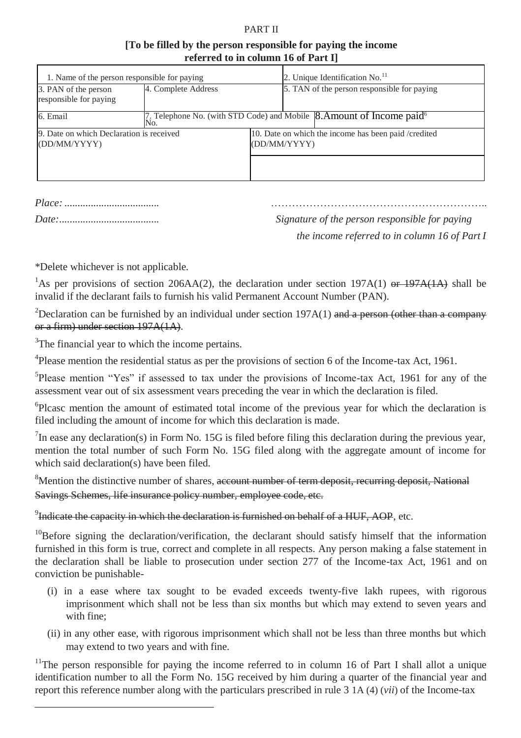#### PART II

## **[To be filled by the person responsible for paying the income referred to in column 16 of Part I]**

| 1. Name of the person responsible for paying             |                     |                                                                      | 2. Unique Identification No. <sup>11</sup>  |                                                                                       |  |  |
|----------------------------------------------------------|---------------------|----------------------------------------------------------------------|---------------------------------------------|---------------------------------------------------------------------------------------|--|--|
| 3. PAN of the person<br>responsible for paying           | 4. Complete Address |                                                                      | 5. TAN of the person responsible for paying |                                                                                       |  |  |
| 6. Email                                                 |                     |                                                                      |                                             | 7, Telephone No. (with STD Code) and Mobile 8. Amount of Income paid <sup>6</sup> No. |  |  |
| 9. Date on which Declaration is received<br>(DD/MM/YYYY) |                     | 10. Date on which the income has been paid /credited<br>(DD/MM/YYYY) |                                             |                                                                                       |  |  |
|                                                          |                     |                                                                      |                                             |                                                                                       |  |  |

|  |  |  | Date: |  |
|--|--|--|-------|--|

*Place:*.................................... ……………………………………………………..

*Signature of the person responsible for paying the income referred to in column 16 of Part I*

\*Delete whichever is not applicable.

<sup>1</sup>As per provisions of section 206AA(2), the declaration under section 197A(1) or 197A(1A) shall be invalid if the declarant fails to furnish his valid Permanent Account Number (PAN).

<sup>2</sup>Declaration can be furnished by an individual under section  $197A(1)$  and a person (other than a company or a firm) under section 197A(1A).

<sup>3</sup>The financial year to which the income pertains.

<sup>4</sup>Please mention the residential status as per the provisions of section 6 of the Income-tax Act, 1961.

5 Please mention "Yes" if assessed to tax under the provisions of Income-tax Act, 1961 for any of the assessment vear out of six assessment vears preceding the vear in which the declaration is filed.

6 Plcasc mention the amount of estimated total income of the previous year for which the declaration is filed including the amount of income for which this declaration is made.

 $^{7}$ In ease any declaration(s) in Form No. 15G is filed before filing this declaration during the previous year, mention the total number of such Form No. 15G filed along with the aggregate amount of income for which said declaration(s) have been filed.

<sup>8</sup>Mention the distinctive number of shares, account number of term deposit, recurring deposit, National Savings Schemes, life insurance policy number, employee code, etc.

 $^{9}$ Indicate the capacity in which the declaration is furnished on behalf of a HUF, AOP, etc.

<sup>10</sup>Before signing the declaration/verification, the declarant should satisfy himself that the information furnished in this form is true, correct and complete in all respects. Any person making a false statement in the declaration shall be liable to prosecution under section 277 of the Income-tax Act, 1961 and on conviction be punishable-

- (i) in a ease where tax sought to be evaded exceeds twenty-five lakh rupees, with rigorous imprisonment which shall not be less than six months but which may extend to seven years and with fine;
- (ii) in any other ease, with rigorous imprisonment which shall not be less than three months but which may extend to two years and with fine.

<sup>11</sup>The person responsible for paying the income referred to in column 16 of Part I shall allot a unique identification number to all the Form No. 15G received by him during a quarter of the financial year and report this reference number along with the particulars prescribed in rule 3 1A (4) (*vii*) of the Income-tax